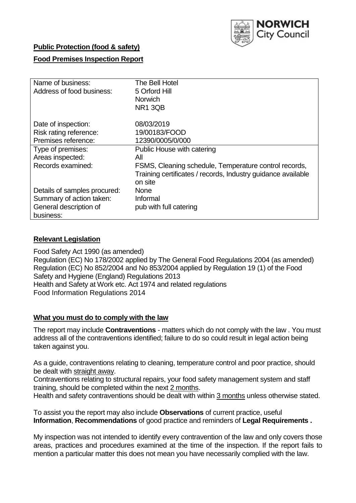

## **Public Protection (food & safety)**

## **Food Premises Inspection Report**

| Name of business:                   | The Bell Hotel                                                          |
|-------------------------------------|-------------------------------------------------------------------------|
| Address of food business:           | 5 Orford Hill                                                           |
|                                     | Norwich                                                                 |
|                                     | <b>NR1 3QB</b>                                                          |
| Date of inspection:                 | 08/03/2019                                                              |
| Risk rating reference:              | 19/00183/FOOD                                                           |
| Premises reference:                 | 12390/0005/0/000                                                        |
| Type of premises:                   | Public House with catering                                              |
| Areas inspected:                    | All                                                                     |
| Records examined:                   | FSMS, Cleaning schedule, Temperature control records,                   |
|                                     | Training certificates / records, Industry guidance available<br>on site |
| Details of samples procured:        | <b>None</b>                                                             |
| Summary of action taken:            | Informal                                                                |
| General description of<br>business: | pub with full catering                                                  |

#### **Relevant Legislation**

Food Safety Act 1990 (as amended) Regulation (EC) No 178/2002 applied by The General Food Regulations 2004 (as amended) Regulation (EC) No 852/2004 and No 853/2004 applied by Regulation 19 (1) of the Food Safety and Hygiene (England) Regulations 2013 Health and Safety at Work etc. Act 1974 and related regulations Food Information Regulations 2014

#### **What you must do to comply with the law**

The report may include **Contraventions** - matters which do not comply with the law . You must address all of the contraventions identified; failure to do so could result in legal action being taken against you.

As a guide, contraventions relating to cleaning, temperature control and poor practice, should be dealt with straight away.

Contraventions relating to structural repairs, your food safety management system and staff training, should be completed within the next 2 months.

Health and safety contraventions should be dealt with within 3 months unless otherwise stated.

To assist you the report may also include **Observations** of current practice, useful **Information**, **Recommendations** of good practice and reminders of **Legal Requirements .**

My inspection was not intended to identify every contravention of the law and only covers those areas, practices and procedures examined at the time of the inspection. If the report fails to mention a particular matter this does not mean you have necessarily complied with the law.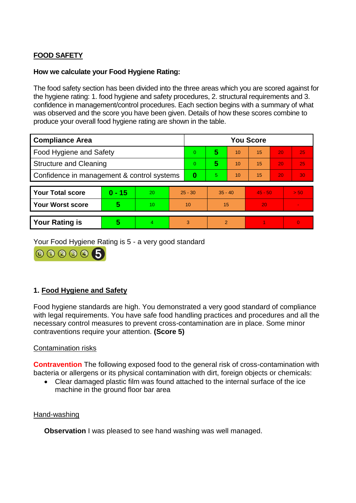# **FOOD SAFETY**

#### **How we calculate your Food Hygiene Rating:**

The food safety section has been divided into the three areas which you are scored against for the hygiene rating: 1. food hygiene and safety procedures, 2. structural requirements and 3. confidence in management/control procedures. Each section begins with a summary of what was observed and the score you have been given. Details of how these scores combine to produce your overall food hygiene rating are shown in the table.

| <b>Compliance Area</b>                     |          |    |           | <b>You Score</b> |                |    |           |    |          |  |  |
|--------------------------------------------|----------|----|-----------|------------------|----------------|----|-----------|----|----------|--|--|
| Food Hygiene and Safety                    |          |    |           | $\Omega$         | 5              | 10 | 15        | 20 | 25       |  |  |
| <b>Structure and Cleaning</b>              |          |    | $\Omega$  | 5                | 10             | 15 | 20        | 25 |          |  |  |
| Confidence in management & control systems |          |    | 0         | 5.               | 10             | 15 | 20        | 30 |          |  |  |
|                                            |          |    |           |                  |                |    |           |    |          |  |  |
| <b>Your Total score</b>                    | $0 - 15$ | 20 | $25 - 30$ |                  | $35 - 40$      |    | $45 - 50$ |    | > 50     |  |  |
| <b>Your Worst score</b>                    | 5        | 10 | 10        |                  | 15             |    | 20        |    |          |  |  |
|                                            |          |    |           |                  |                |    |           |    |          |  |  |
| <b>Your Rating is</b>                      | 5        |    | 3         |                  | $\mathfrak{p}$ |    |           |    | $\Omega$ |  |  |

Your Food Hygiene Rating is 5 - a very good standard

000005

## **1. Food Hygiene and Safety**

Food hygiene standards are high. You demonstrated a very good standard of compliance with legal requirements. You have safe food handling practices and procedures and all the necessary control measures to prevent cross-contamination are in place. Some minor contraventions require your attention. **(Score 5)**

#### Contamination risks

**Contravention** The following exposed food to the general risk of cross-contamination with bacteria or allergens or its physical contamination with dirt, foreign objects or chemicals:

 Clear damaged plastic film was found attached to the internal surface of the ice machine in the ground floor bar area

#### Hand-washing

**Observation** I was pleased to see hand washing was well managed.